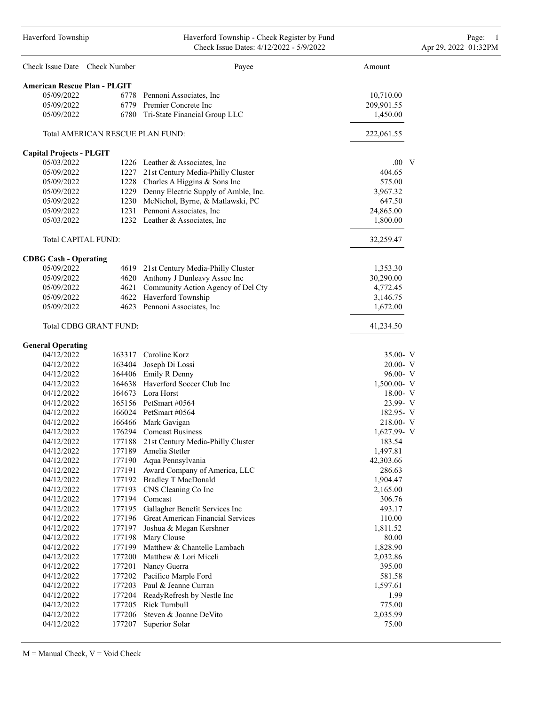### Haverford Township Haverford Township - Check Register by Fund Page: 1 Check Issue Dates: 4/12/2022 - 5/9/2022 Apr 29, 2022 01:32PM

| Check Issue Date Check Number       |                                  | Payee                                      | Amount                |
|-------------------------------------|----------------------------------|--------------------------------------------|-----------------------|
| <b>American Rescue Plan - PLGIT</b> |                                  |                                            |                       |
| 05/09/2022                          |                                  | 6778 Pennoni Associates, Inc.              | 10,710.00             |
| 05/09/2022                          |                                  | 6779 Premier Concrete Inc                  | 209,901.55            |
| 05/09/2022                          |                                  | 6780 Tri-State Financial Group LLC         | 1,450.00              |
|                                     | Total AMERICAN RESCUE PLAN FUND: |                                            | 222,061.55            |
| <b>Capital Projects - PLGIT</b>     |                                  |                                            |                       |
| 05/03/2022                          |                                  | 1226 Leather & Associates, Inc.            | $.00\quad$ V          |
| 05/09/2022                          |                                  | 1227 21st Century Media-Philly Cluster     | 404.65                |
| 05/09/2022                          |                                  | 1228 Charles A Higgins & Sons Inc          | 575.00                |
| 05/09/2022                          |                                  | 1229 Denny Electric Supply of Amble, Inc.  | 3,967.32              |
| 05/09/2022                          |                                  | 1230 McNichol, Byrne, & Matlawski, PC      | 647.50                |
| 05/09/2022                          |                                  | 1231 Pennoni Associates, Inc               | 24,865.00             |
| 05/03/2022                          |                                  | 1232 Leather & Associates, Inc.            | 1,800.00              |
| Total CAPITAL FUND:                 |                                  |                                            | 32,259.47             |
| <b>CDBG Cash - Operating</b>        |                                  |                                            |                       |
| 05/09/2022                          | 4619                             | 21st Century Media-Philly Cluster          | 1,353.30              |
| 05/09/2022                          |                                  | 4620 Anthony J Dunleavy Assoc Inc          | 30,290.00             |
| 05/09/2022                          |                                  | 4621 Community Action Agency of Del Cty    | 4,772.45              |
| 05/09/2022                          |                                  | 4622 Haverford Township                    | 3,146.75              |
| 05/09/2022                          |                                  | 4623 Pennoni Associates, Inc.              | 1,672.00              |
|                                     | Total CDBG GRANT FUND:           |                                            | 41,234.50             |
| <b>General Operating</b>            |                                  |                                            |                       |
| 04/12/2022                          |                                  | 163317 Caroline Korz                       | 35.00- V              |
| 04/12/2022                          |                                  | 163404 Joseph Di Lossi                     | 20.00- V              |
| 04/12/2022                          |                                  | 164406 Emily R Denny                       | 96.00- V              |
| 04/12/2022                          |                                  | 164638 Haverford Soccer Club Inc           | $1,500.00 - V$        |
| 04/12/2022                          |                                  | 164673 Lora Horst<br>165156 PetSmart #0564 | $18.00 - V$           |
| 04/12/2022<br>04/12/2022            |                                  | 166024 PetSmart #0564                      | 23.99- V<br>182.95- V |
| 04/12/2022                          |                                  | 166466 Mark Gavigan                        | $218.00 - V$          |
| 04/12/2022                          |                                  | 176294 Comcast Business                    | $1,627.99 - V$        |
| 04/12/2022                          | 177188                           | 21st Century Media-Philly Cluster          | 183.54                |
| 04/12/2022                          |                                  | 177189 Amelia Stetler                      | 1,497.81              |
| 04/12/2022                          | 177190                           | Aqua Pennsylvania                          | 42,303.66             |
| 04/12/2022                          | 177191                           | Award Company of America, LLC              | 286.63                |
| 04/12/2022                          |                                  | 177192 Bradley T MacDonald                 | 1,904.47              |
| 04/12/2022                          | 177193                           | CNS Cleaning Co Inc                        | 2,165.00              |
| 04/12/2022                          | 177194                           | Comcast                                    | 306.76                |
| 04/12/2022                          | 177195                           | Gallagher Benefit Services Inc             | 493.17                |
| 04/12/2022                          | 177196                           | Great American Financial Services          | 110.00                |
| 04/12/2022                          |                                  | 177197 Joshua & Megan Kershner             | 1,811.52              |
| 04/12/2022                          |                                  | 177198 Mary Clouse                         | 80.00                 |
| 04/12/2022                          |                                  | 177199 Matthew & Chantelle Lambach         | 1,828.90              |
| 04/12/2022                          |                                  | 177200 Matthew & Lori Miceli               | 2,032.86              |
| 04/12/2022                          |                                  | 177201 Nancy Guerra                        | 395.00                |
| 04/12/2022                          |                                  | 177202 Pacifico Marple Ford                | 581.58                |
| 04/12/2022                          |                                  | 177203 Paul & Jeanne Curran                | 1,597.61              |
| 04/12/2022                          |                                  | 177204 ReadyRefresh by Nestle Inc          | 1.99                  |
| 04/12/2022                          |                                  | 177205 Rick Turnbull                       | 775.00                |
| 04/12/2022                          | 177206                           | Steven & Joanne DeVito                     | 2,035.99              |
| 04/12/2022                          |                                  | 177207 Superior Solar                      | 75.00                 |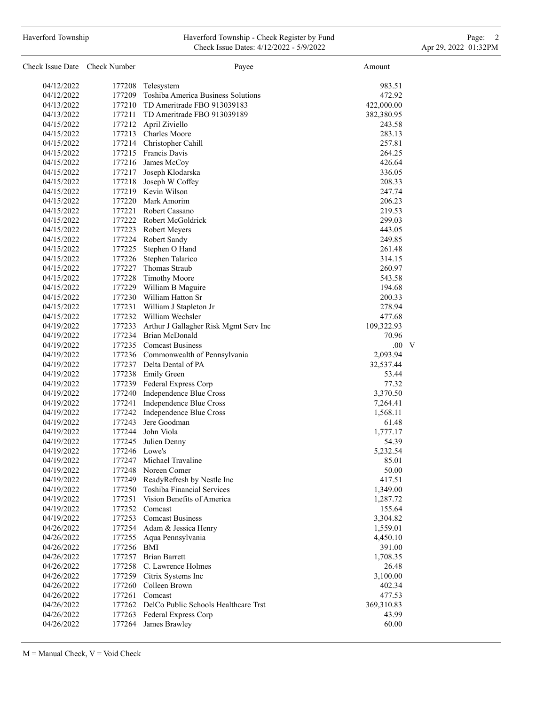## Haverford Township **Haverford Township - Check Register by Fund** Page: 2 Check Issue Dates: 4/12/2022 - 5/9/2022 Apr 29, 2022 01:32PM

| Check Issue Date Check Number |                  | Payee                                       | Amount     |
|-------------------------------|------------------|---------------------------------------------|------------|
| 04/12/2022                    | 177208           | Telesystem                                  | 983.51     |
| 04/12/2022                    | 177209           | Toshiba America Business Solutions          | 472.92     |
| 04/13/2022                    |                  | 177210 TD Ameritrade FBO 913039183          | 422,000.00 |
| 04/13/2022                    |                  | 177211 TD Ameritrade FBO 913039189          | 382,380.95 |
| 04/15/2022                    | 177212           | April Ziviello                              | 243.58     |
| 04/15/2022                    |                  | 177213 Charles Moore                        | 283.13     |
| 04/15/2022                    |                  | 177214 Christopher Cahill                   | 257.81     |
| 04/15/2022                    |                  | 177215 Francis Davis                        | 264.25     |
| 04/15/2022                    |                  | 177216 James McCoy                          | 426.64     |
| 04/15/2022                    | 177217           | Joseph Klodarska                            | 336.05     |
| 04/15/2022                    | 177218           | Joseph W Coffey                             | 208.33     |
| 04/15/2022                    |                  | 177219 Kevin Wilson                         | 247.74     |
| 04/15/2022                    |                  | 177220 Mark Amorim                          | 206.23     |
| 04/15/2022                    |                  | 177221 Robert Cassano                       | 219.53     |
| 04/15/2022                    |                  | 177222 Robert McGoldrick                    | 299.03     |
| 04/15/2022                    |                  | 177223 Robert Meyers                        | 443.05     |
| 04/15/2022                    |                  | 177224 Robert Sandy                         | 249.85     |
|                               | 177225           |                                             | 261.48     |
| 04/15/2022                    |                  | Stephen O Hand                              |            |
| 04/15/2022                    | 177226<br>177227 | Stephen Talarico<br>Thomas Straub           | 314.15     |
| 04/15/2022                    |                  |                                             | 260.97     |
| 04/15/2022                    | 177228<br>177229 | <b>Timothy Moore</b>                        | 543.58     |
| 04/15/2022                    |                  | William B Maguire                           | 194.68     |
| 04/15/2022                    |                  | 177230 William Hatton Sr                    | 200.33     |
| 04/15/2022                    | 177231           | William J Stapleton Jr                      | 278.94     |
| 04/15/2022                    |                  | 177232 William Wechsler                     | 477.68     |
| 04/19/2022                    | 177233           | Arthur J Gallagher Risk Mgmt Serv Inc       | 109,322.93 |
| 04/19/2022                    |                  | 177234 Brian McDonald                       | 70.96      |
| 04/19/2022                    |                  | 177235 Comcast Business                     | .00.<br>V  |
| 04/19/2022                    |                  | 177236 Commonwealth of Pennsylvania         | 2,093.94   |
| 04/19/2022                    |                  | 177237 Delta Dental of PA                   | 32,537.44  |
| 04/19/2022                    |                  | 177238 Emily Green                          | 53.44      |
| 04/19/2022                    |                  | 177239 Federal Express Corp                 | 77.32      |
| 04/19/2022                    |                  | 177240 Independence Blue Cross              | 3,370.50   |
| 04/19/2022                    | 177241           | Independence Blue Cross                     | 7,264.41   |
| 04/19/2022                    | 177242           | Independence Blue Cross                     | 1,568.11   |
| 04/19/2022                    | 177243           | Jere Goodman                                | 61.48      |
| 04/19/2022                    |                  | 177244 John Viola                           | 1,777.17   |
| 04/19/2022                    | 177245           | Julien Denny                                | 54.39      |
| 04/19/2022                    | 177246 Lowe's    |                                             | 5,232.54   |
| 04/19/2022                    | 177247           | Michael Travaline                           | 85.01      |
| 04/19/2022                    | 177248           | Noreen Comer                                | 50.00      |
| 04/19/2022                    | 177249           | ReadyRefresh by Nestle Inc                  | 417.51     |
| 04/19/2022                    |                  | 177250 Toshiba Financial Services           | 1,349.00   |
| 04/19/2022                    |                  | 177251 Vision Benefits of America           | 1,287.72   |
| 04/19/2022                    |                  | 177252 Comcast                              | 155.64     |
| 04/19/2022                    |                  | 177253 Comcast Business                     | 3,304.82   |
| 04/26/2022                    |                  | 177254 Adam & Jessica Henry                 | 1,559.01   |
| 04/26/2022                    |                  | 177255 Aqua Pennsylvania                    | 4,450.10   |
| 04/26/2022                    | 177256 BMI       |                                             | 391.00     |
| 04/26/2022                    |                  | 177257 Brian Barrett                        | 1,708.35   |
| 04/26/2022                    |                  | 177258 C. Lawrence Holmes                   | 26.48      |
| 04/26/2022                    |                  | 177259 Citrix Systems Inc                   | 3,100.00   |
| 04/26/2022                    |                  | 177260 Colleen Brown                        | 402.34     |
| 04/26/2022                    |                  | 177261 Comcast                              | 477.53     |
| 04/26/2022                    |                  | 177262 DelCo Public Schools Healthcare Trst | 369,310.83 |
| 04/26/2022                    |                  | 177263 Federal Express Corp                 | 43.99      |
| 04/26/2022                    | 177264           | James Brawley                               | 60.00      |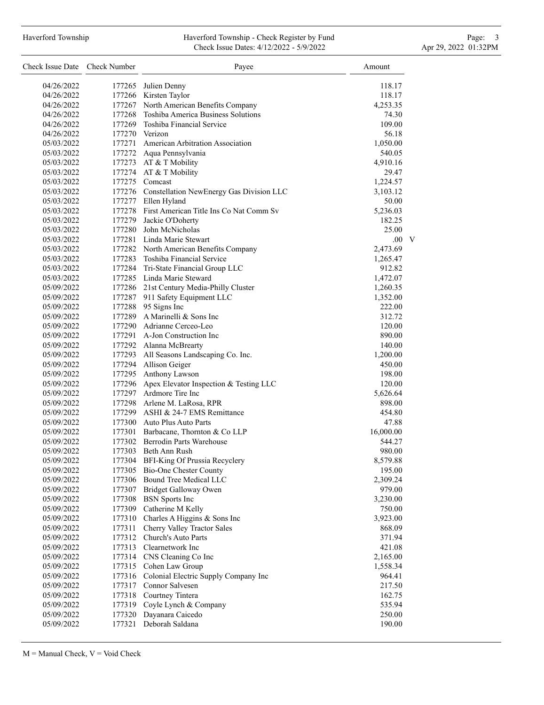## Haverford Township **Haverford Township - Check Register by Fund** Page: 3 and Page: 3 Check Issue Dates: 4/12/2022 - 5/9/2022 Apr 29, 2022 01:32PM

| Check Issue Date Check Number |        | Payee                                           | Amount       |
|-------------------------------|--------|-------------------------------------------------|--------------|
| 04/26/2022                    |        | 177265 Julien Denny                             | 118.17       |
| 04/26/2022                    |        | 177266 Kirsten Taylor                           | 118.17       |
| 04/26/2022                    |        | 177267 North American Benefits Company          | 4,253.35     |
| 04/26/2022                    |        | 177268 Toshiba America Business Solutions       | 74.30        |
| 04/26/2022                    |        | 177269 Toshiba Financial Service                | 109.00       |
| 04/26/2022                    |        | 177270 Verizon                                  | 56.18        |
| 05/03/2022                    |        | 177271 American Arbitration Association         | 1,050.00     |
| 05/03/2022                    |        | 177272 Aqua Pennsylvania                        | 540.05       |
| 05/03/2022                    |        | 177273 AT & T Mobility                          | 4,910.16     |
| 05/03/2022                    |        | 177274 AT & T Mobility                          | 29.47        |
| 05/03/2022                    |        | 177275 Comcast                                  | 1,224.57     |
| 05/03/2022                    |        | 177276 Constellation NewEnergy Gas Division LLC | 3,103.12     |
| 05/03/2022                    |        | 177277 Ellen Hyland                             | 50.00        |
| 05/03/2022                    |        | 177278 First American Title Ins Co Nat Comm Sv  | 5,236.03     |
| 05/03/2022                    |        | 177279 Jackie O'Doherty                         | 182.25       |
| 05/03/2022                    |        | 177280 John McNicholas                          | 25.00        |
| 05/03/2022                    |        | 177281 Linda Marie Stewart                      | $.00\quad V$ |
| 05/03/2022                    |        | 177282 North American Benefits Company          | 2,473.69     |
| 05/03/2022                    |        | 177283 Toshiba Financial Service                | 1,265.47     |
| 05/03/2022                    |        | 177284 Tri-State Financial Group LLC            | 912.82       |
| 05/03/2022                    |        | 177285 Linda Marie Steward                      | 1,472.07     |
| 05/09/2022                    |        | 177286 21st Century Media-Philly Cluster        | 1,260.35     |
| 05/09/2022                    |        | 177287 911 Safety Equipment LLC                 | 1,352.00     |
| 05/09/2022                    |        | 177288 95 Signs Inc                             | 222.00       |
| 05/09/2022                    |        | 177289 A Marinelli & Sons Inc                   | 312.72       |
| 05/09/2022                    |        | 177290 Adrianne Cerceo-Leo                      | 120.00       |
| 05/09/2022                    |        | 177291 A-Jon Construction Inc                   | 890.00       |
| 05/09/2022                    |        | 177292 Alanna McBrearty                         | 140.00       |
| 05/09/2022                    |        | 177293 All Seasons Landscaping Co. Inc.         | 1,200.00     |
| 05/09/2022                    |        | 177294 Allison Geiger                           | 450.00       |
| 05/09/2022                    |        | 177295 Anthony Lawson                           | 198.00       |
| 05/09/2022                    |        | 177296 Apex Elevator Inspection & Testing LLC   | 120.00       |
| 05/09/2022                    |        | 177297 Ardmore Tire Inc                         | 5,626.64     |
| 05/09/2022                    |        | 177298 Arlene M. LaRosa, RPR                    | 898.00       |
| 05/09/2022                    |        | 177299 ASHI & 24-7 EMS Remittance               | 454.80       |
| 05/09/2022                    |        | 177300 Auto Plus Auto Parts                     | 47.88        |
| 05/09/2022                    |        | 177301 Barbacane, Thornton & Co LLP             | 16,000.00    |
| 05/09/2022                    |        | 177302 Berrodin Parts Warehouse                 | 544.27       |
| 05/09/2022                    |        | 177303 Beth Ann Rush                            | 980.00       |
| 05/09/2022                    | 177304 | <b>BFI-King Of Prussia Recyclery</b>            | 8,579.88     |
| 05/09/2022                    | 177305 | Bio-One Chester County                          | 195.00       |
| 05/09/2022                    | 177306 | Bound Tree Medical LLC                          | 2,309.24     |
| 05/09/2022                    | 177307 | Bridget Galloway Owen                           | 979.00       |
| 05/09/2022                    | 177308 | <b>BSN</b> Sports Inc                           | 3,230.00     |
| 05/09/2022                    | 177309 | Catherine M Kelly                               | 750.00       |
| 05/09/2022                    | 177310 | Charles A Higgins & Sons Inc                    | 3,923.00     |
| 05/09/2022                    | 177311 | Cherry Valley Tractor Sales                     | 868.09       |
| 05/09/2022                    | 177312 | Church's Auto Parts                             | 371.94       |
| 05/09/2022                    | 177313 | Clearnetwork Inc                                | 421.08       |
| 05/09/2022                    | 177314 | CNS Cleaning Co Inc                             | 2,165.00     |
| 05/09/2022                    | 177315 | Cohen Law Group                                 | 1,558.34     |
| 05/09/2022                    | 177316 | Colonial Electric Supply Company Inc            | 964.41       |
| 05/09/2022                    | 177317 | Connor Salvesen                                 | 217.50       |
| 05/09/2022                    | 177318 | Courtney Tintera                                | 162.75       |
| 05/09/2022                    | 177319 | Coyle Lynch & Company                           | 535.94       |
| 05/09/2022                    | 177320 | Dayanara Caicedo                                | 250.00       |
|                               | 177321 | Deborah Saldana                                 | 190.00       |
| 05/09/2022                    |        |                                                 |              |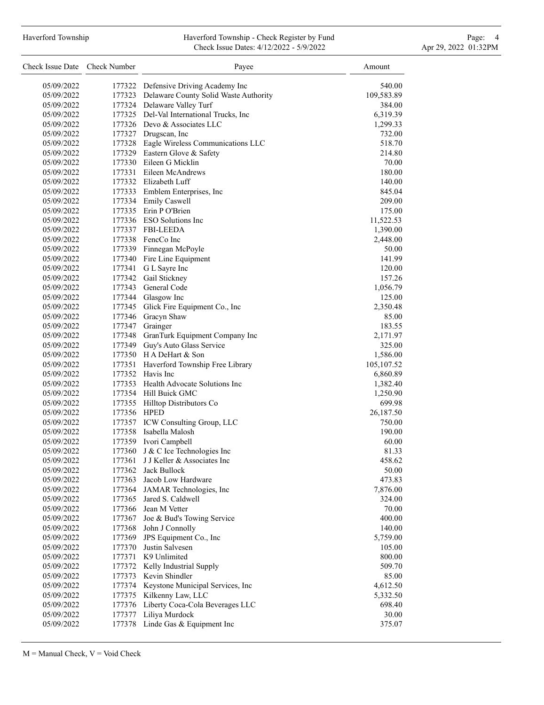## Haverford Township **Haverford Township - Check Register by Fund** Page: 4 Page: 4 Check Issue Dates: 4/12/2022 - 5/9/2022 Apr 29, 2022 01:32PM

| Check Issue Date Check Number |             | Payee                                             | Amount     |
|-------------------------------|-------------|---------------------------------------------------|------------|
| 05/09/2022                    |             | 177322 Defensive Driving Academy Inc              | 540.00     |
| 05/09/2022                    |             | 177323 Delaware County Solid Waste Authority      | 109,583.89 |
| 05/09/2022                    |             | 177324 Delaware Valley Turf                       | 384.00     |
| 05/09/2022                    |             | 177325 Del-Val International Trucks, Inc          | 6,319.39   |
| 05/09/2022                    |             | 177326 Devo & Associates LLC                      | 1,299.33   |
| 05/09/2022                    |             | 177327 Drugscan, Inc                              | 732.00     |
| 05/09/2022                    |             | 177328 Eagle Wireless Communications LLC          | 518.70     |
| 05/09/2022                    |             | 177329 Eastern Glove & Safety                     | 214.80     |
| 05/09/2022                    |             | 177330 Eileen G Micklin                           | 70.00      |
| 05/09/2022                    |             | 177331 Eileen McAndrews                           | 180.00     |
| 05/09/2022                    |             | 177332 Elizabeth Luff                             | 140.00     |
| 05/09/2022                    |             | 177333 Emblem Enterprises, Inc                    | 845.04     |
| 05/09/2022                    |             | 177334 Emily Caswell                              | 209.00     |
| 05/09/2022                    |             | 177335 Erin P O'Brien                             | 175.00     |
| 05/09/2022                    |             | 177336 ESO Solutions Inc                          | 11,522.53  |
| 05/09/2022                    |             | 177337 FBI-LEEDA                                  | 1,390.00   |
| 05/09/2022                    |             | 177338 FencCo Inc                                 | 2,448.00   |
| 05/09/2022                    |             | 177339 Finnegan McPoyle                           | 50.00      |
| 05/09/2022                    |             | 177340 Fire Line Equipment                        | 141.99     |
| 05/09/2022                    |             | 177341 G L Sayre Inc                              | 120.00     |
| 05/09/2022                    |             | 177342 Gail Stickney                              | 157.26     |
| 05/09/2022                    |             | 177343 General Code                               | 1,056.79   |
| 05/09/2022                    |             | 177344 Glasgow Inc                                | 125.00     |
| 05/09/2022                    |             | 177345 Glick Fire Equipment Co., Inc              | 2,350.48   |
| 05/09/2022                    |             | 177346 Gracyn Shaw                                | 85.00      |
| 05/09/2022                    |             | 177347 Grainger                                   | 183.55     |
| 05/09/2022                    |             | 177348 GranTurk Equipment Company Inc             | 2,171.97   |
| 05/09/2022                    |             | 177349 Guy's Auto Glass Service                   | 325.00     |
| 05/09/2022                    |             | 177350 H A DeHart & Son                           | 1,586.00   |
| 05/09/2022                    |             | 177351 Haverford Township Free Library            | 105,107.52 |
| 05/09/2022                    |             | 177352 Havis Inc                                  | 6,860.89   |
| 05/09/2022                    |             | 177353 Health Advocate Solutions Inc              | 1,382.40   |
| 05/09/2022                    |             | 177354 Hill Buick GMC                             | 1,250.90   |
| 05/09/2022                    |             | 177355 Hilltop Distributors Co                    | 699.98     |
| 05/09/2022                    | 177356 HPED |                                                   | 26,187.50  |
| 05/09/2022                    |             | 177357 ICW Consulting Group, LLC                  | 750.00     |
| 05/09/2022                    |             | 177358 Isabella Malosh                            | 190.00     |
| 05/09/2022                    |             | 177359 Ivori Campbell                             | 60.00      |
| 05/09/2022                    | 177360      | J & C Ice Technologies Inc                        | 81.33      |
| 05/09/2022                    | 177361      | J J Keller & Associates Inc                       | 458.62     |
| 05/09/2022                    | 177362      | Jack Bullock                                      | 50.00      |
| 05/09/2022                    |             | 177363 Jacob Low Hardware                         | 473.83     |
| 05/09/2022                    |             | 177364 JAMAR Technologies, Inc                    | 7,876.00   |
| 05/09/2022                    |             | 177365 Jared S. Caldwell                          | 324.00     |
| 05/09/2022                    |             | 177366 Jean M Vetter                              | 70.00      |
| 05/09/2022                    | 177367      | Joe & Bud's Towing Service                        | 400.00     |
| 05/09/2022                    |             | 177368 John J Connolly                            | 140.00     |
| 05/09/2022                    |             | 177369 JPS Equipment Co., Inc                     | 5,759.00   |
| 05/09/2022                    | 177370      | Justin Salvesen                                   | 105.00     |
| 05/09/2022                    |             | 177371 K9 Unlimited                               | 800.00     |
| 05/09/2022                    | 177372      | Kelly Industrial Supply                           | 509.70     |
| 05/09/2022                    |             | 177373 Kevin Shindler                             | 85.00      |
| 05/09/2022                    |             | 177374 Keystone Municipal Services, Inc           | 4,612.50   |
| 05/09/2022                    | 177375      | Kilkenny Law, LLC                                 | 5,332.50   |
| 05/09/2022                    | 177376      | Liberty Coca-Cola Beverages LLC<br>Liliya Murdock | 698.40     |
| 05/09/2022                    | 177377      |                                                   | 30.00      |
| 05/09/2022                    |             | 177378 Linde Gas & Equipment Inc                  | 375.07     |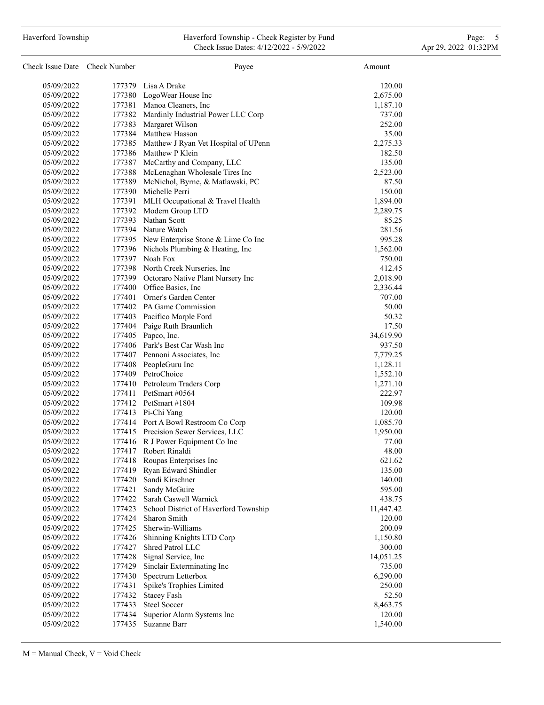## Haverford Township **Haverford Township - Check Register by Fund** Page: 5 - 5 - 7 Page: 5 - 7 Page: 5 - 7 Page: 5 Check Issue Dates: 4/12/2022 - 5/9/2022 Apr 29, 2022 01:32PM

| Check Issue Date Check Number |        | Payee                                       | Amount    |
|-------------------------------|--------|---------------------------------------------|-----------|
| 05/09/2022                    |        | 177379 Lisa A Drake                         | 120.00    |
| 05/09/2022                    |        | 177380 LogoWear House Inc                   | 2,675.00  |
| 05/09/2022                    |        | 177381 Manoa Cleaners, Inc                  | 1,187.10  |
| 05/09/2022                    |        | 177382 Mardinly Industrial Power LLC Corp   | 737.00    |
| 05/09/2022                    |        | 177383 Margaret Wilson                      | 252.00    |
| 05/09/2022                    |        | 177384 Matthew Hasson                       | 35.00     |
| 05/09/2022                    |        | 177385 Matthew J Ryan Vet Hospital of UPenn | 2,275.33  |
| 05/09/2022                    |        | 177386 Matthew P Klein                      | 182.50    |
| 05/09/2022                    |        | 177387 McCarthy and Company, LLC            | 135.00    |
| 05/09/2022                    |        | 177388 McLenaghan Wholesale Tires Inc       | 2,523.00  |
| 05/09/2022                    |        | 177389 McNichol, Byrne, & Matlawski, PC     | 87.50     |
| 05/09/2022                    |        | 177390 Michelle Perri                       | 150.00    |
| 05/09/2022                    |        | 177391 MLH Occupational & Travel Health     | 1,894.00  |
| 05/09/2022                    |        | 177392 Modern Group LTD                     | 2,289.75  |
| 05/09/2022                    |        | 177393 Nathan Scott                         | 85.25     |
| 05/09/2022                    |        | 177394 Nature Watch                         | 281.56    |
| 05/09/2022                    |        | 177395 New Enterprise Stone & Lime Co Inc   | 995.28    |
| 05/09/2022                    |        | 177396 Nichols Plumbing & Heating, Inc      | 1,562.00  |
| 05/09/2022                    |        | 177397 Noah Fox                             | 750.00    |
| 05/09/2022                    |        | 177398 North Creek Nurseries, Inc           | 412.45    |
| 05/09/2022                    |        | 177399 Octoraro Native Plant Nursery Inc    | 2,018.90  |
| 05/09/2022                    |        | 177400 Office Basics, Inc.                  | 2,336.44  |
| 05/09/2022                    |        | 177401 Orner's Garden Center                | 707.00    |
| 05/09/2022                    |        | 177402 PA Game Commission                   | 50.00     |
| 05/09/2022                    |        | 177403 Pacifico Marple Ford                 | 50.32     |
|                               |        | 177404 Paige Ruth Braunlich                 | 17.50     |
| 05/09/2022                    |        | 177405 Papco, Inc.                          |           |
| 05/09/2022                    |        | 177406 Park's Best Car Wash Inc             | 34,619.90 |
| 05/09/2022                    |        |                                             | 937.50    |
| 05/09/2022                    |        | 177407 Pennoni Associates, Inc              | 7,779.25  |
| 05/09/2022                    |        | 177408 PeopleGuru Inc                       | 1,128.11  |
| 05/09/2022                    |        | 177409 PetroChoice                          | 1,552.10  |
| 05/09/2022                    |        | 177410 Petroleum Traders Corp               | 1,271.10  |
| 05/09/2022                    |        | 177411 PetSmart #0564                       | 222.97    |
| 05/09/2022                    |        | 177412 PetSmart #1804                       | 109.98    |
| 05/09/2022                    |        | 177413 Pi-Chi Yang                          | 120.00    |
| 05/09/2022                    |        | 177414 Port A Bowl Restroom Co Corp         | 1,085.70  |
| 05/09/2022                    |        | 177415 Precision Sewer Services, LLC        | 1,950.00  |
| 05/09/2022                    |        | 177416 R J Power Equipment Co Inc           | 77.00     |
| 05/09/2022                    |        | 177417 Robert Rinaldi                       | 48.00     |
| 05/09/2022                    | 177418 | Roupas Enterprises Inc                      | 621.62    |
| 05/09/2022                    | 177419 | Ryan Edward Shindler                        | 135.00    |
| 05/09/2022                    | 177420 | Sandi Kirschner                             | 140.00    |
| 05/09/2022                    | 177421 | Sandy McGuire                               | 595.00    |
| 05/09/2022                    |        | 177422 Sarah Caswell Warnick                | 438.75    |
| 05/09/2022                    | 177423 | School District of Haverford Township       | 11,447.42 |
| 05/09/2022                    | 177424 | Sharon Smith                                | 120.00    |
| 05/09/2022                    | 177425 | Sherwin-Williams                            | 200.09    |
| 05/09/2022                    | 177426 | Shinning Knights LTD Corp                   | 1,150.80  |
| 05/09/2022                    | 177427 | Shred Patrol LLC                            | 300.00    |
| 05/09/2022                    | 177428 | Signal Service, Inc                         | 14,051.25 |
| 05/09/2022                    | 177429 | Sinclair Exterminating Inc                  | 735.00    |
| 05/09/2022                    | 177430 | Spectrum Letterbox                          | 6,290.00  |
| 05/09/2022                    | 177431 | Spike's Trophies Limited                    | 250.00    |
| 05/09/2022                    | 177432 | <b>Stacey Fash</b>                          | 52.50     |
| 05/09/2022                    | 177433 | <b>Steel Soccer</b>                         | 8,463.75  |
| 05/09/2022                    | 177434 | Superior Alarm Systems Inc                  | 120.00    |
| 05/09/2022                    | 177435 | Suzanne Barr                                | 1,540.00  |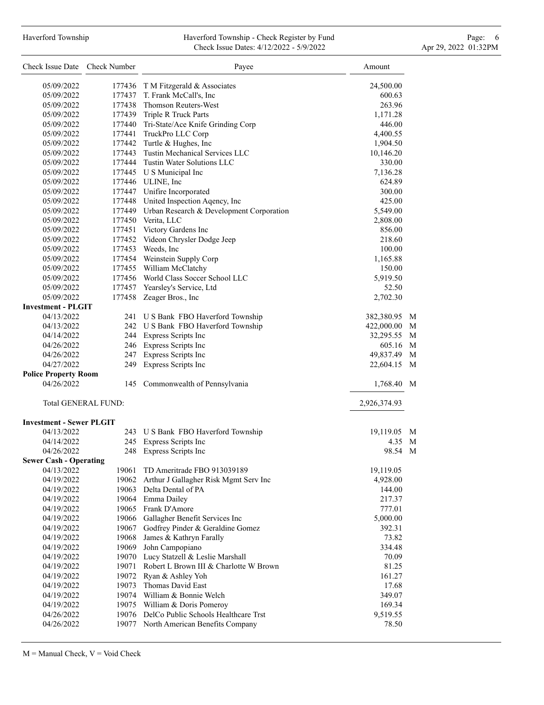## Haverford Township Haverford Township - Check Register by Fund Page: 6 Check Issue Dates: 4/12/2022 - 5/9/2022 Apr 29, 2022 01:32PM

| Check Issue Date Check Number   |     | Payee                                           | Amount                    |
|---------------------------------|-----|-------------------------------------------------|---------------------------|
| 05/09/2022                      |     | 177436 T M Fitzgerald & Associates              | 24,500.00                 |
| 05/09/2022                      |     | 177437 T. Frank McCall's, Inc                   | 600.63                    |
| 05/09/2022                      |     | 177438 Thomson Reuters-West                     | 263.96                    |
| 05/09/2022                      |     | 177439 Triple R Truck Parts                     | 1,171.28                  |
| 05/09/2022                      |     | 177440 Tri-State/Ace Knife Grinding Corp        | 446.00                    |
| 05/09/2022                      |     | 177441 TruckPro LLC Corp                        | 4,400.55                  |
| 05/09/2022                      |     | 177442 Turtle & Hughes, Inc                     | 1,904.50                  |
| 05/09/2022                      |     | 177443 Tustin Mechanical Services LLC           | 10,146.20                 |
| 05/09/2022                      |     | 177444 Tustin Water Solutions LLC               | 330.00                    |
|                                 |     | 177445 U S Municipal Inc                        |                           |
| 05/09/2022                      |     | 177446 ULINE, Inc                               | 7,136.28                  |
| 05/09/2022                      |     |                                                 | 624.89                    |
| 05/09/2022<br>05/09/2022        |     | 177447 Unifire Incorporated                     | 300.00<br>425.00          |
|                                 |     | 177448 United Inspection Aqency, Inc            |                           |
| 05/09/2022                      |     | 177449 Urban Research & Development Corporation | 5,549.00                  |
| 05/09/2022                      |     | 177450 Verita, LLC                              | 2,808.00                  |
| 05/09/2022                      |     | 177451 Victory Gardens Inc                      | 856.00                    |
| 05/09/2022                      |     | 177452 Videon Chrysler Dodge Jeep               | 218.60                    |
| 05/09/2022                      |     | 177453 Weeds, Inc                               | 100.00                    |
| 05/09/2022                      |     | 177454 Weinstein Supply Corp                    | 1,165.88                  |
| 05/09/2022                      |     | 177455 William McClatchy                        | 150.00                    |
| 05/09/2022                      |     | 177456 World Class Soccer School LLC            | 5,919.50                  |
| 05/09/2022                      |     | 177457 Yearsley's Service, Ltd                  | 52.50                     |
| 05/09/2022                      |     | 177458 Zeager Bros., Inc                        | 2,702.30                  |
| <b>Investment - PLGIT</b>       |     |                                                 |                           |
| 04/13/2022                      |     | 241 U S Bank FBO Haverford Township             | 382,380.95<br>M           |
| 04/13/2022                      |     | 242 U S Bank FBO Haverford Township             | 422,000.00<br>M           |
| 04/14/2022                      |     | 244 Express Scripts Inc                         | 32,295.55 M               |
| 04/26/2022                      |     | 246 Express Scripts Inc                         | 605.16 M                  |
| 04/26/2022                      |     | 247 Express Scripts Inc                         | 49,837.49 M               |
| 04/27/2022                      | 249 | Express Scripts Inc                             | 22,604.15<br>$\mathbf{M}$ |
| <b>Police Property Room</b>     |     |                                                 |                           |
| 04/26/2022                      |     | 145 Commonwealth of Pennsylvania                | 1,768.40 M                |
| <b>Total GENERAL FUND:</b>      |     |                                                 | 2,926,374.93              |
| <b>Investment - Sewer PLGIT</b> |     |                                                 |                           |
| 04/13/2022                      |     | 243 U S Bank FBO Haverford Township             | 19,119.05<br>M            |
| 04/14/2022                      |     | 245 Express Scripts Inc                         | 4.35 M                    |
| 04/26/2022                      |     | 248 Express Scripts Inc                         | 98.54 M                   |
| <b>Sewer Cash - Operating</b>   |     |                                                 |                           |
| 04/13/2022                      |     | 19061 TD Ameritrade FBO 913039189               | 19,119.05                 |
| 04/19/2022                      |     | 19062 Arthur J Gallagher Risk Mgmt Serv Inc     | 4,928.00                  |
| 04/19/2022                      |     | 19063 Delta Dental of PA                        | 144.00                    |
| 04/19/2022                      |     | 19064 Emma Dailey                               | 217.37                    |
| 04/19/2022                      |     | 19065 Frank D'Amore                             | 777.01                    |
| 04/19/2022                      |     | 19066 Gallagher Benefit Services Inc            | 5,000.00                  |
| 04/19/2022                      |     | 19067 Godfrey Pinder & Geraldine Gomez          | 392.31                    |
| 04/19/2022                      |     | 19068 James & Kathryn Farally                   | 73.82                     |
| 04/19/2022                      |     | 19069 John Campopiano                           | 334.48                    |
| 04/19/2022                      |     | 19070 Lucy Statzell & Leslie Marshall           | 70.09                     |
| 04/19/2022                      |     | 19071 Robert L Brown III & Charlotte W Brown    | 81.25                     |
| 04/19/2022                      |     | 19072 Ryan & Ashley Yoh                         | 161.27                    |
| 04/19/2022                      |     | 19073 Thomas David East                         | 17.68                     |
| 04/19/2022                      |     | 19074 William & Bonnie Welch                    | 349.07                    |
| 04/19/2022                      |     | 19075 William & Doris Pomeroy                   | 169.34                    |
| 04/26/2022                      |     | 19076 DelCo Public Schools Healthcare Trst      | 9,519.55                  |
| 04/26/2022                      |     | 19077 North American Benefits Company           | 78.50                     |
|                                 |     |                                                 |                           |